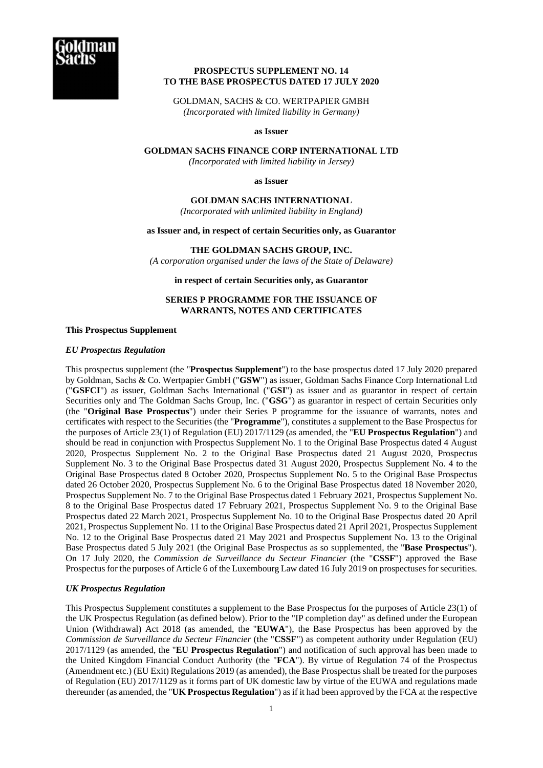

# **PROSPECTUS SUPPLEMENT NO. 14 TO THE BASE PROSPECTUS DATED 17 JULY 2020**

GOLDMAN, SACHS & CO. WERTPAPIER GMBH *(Incorporated with limited liability in Germany)* 

**as Issuer** 

**GOLDMAN SACHS FINANCE CORP INTERNATIONAL LTD** 

*(Incorporated with limited liability in Jersey)*

**as Issuer** 

**GOLDMAN SACHS INTERNATIONAL** 

*(Incorporated with unlimited liability in England)*

**as Issuer and, in respect of certain Securities only, as Guarantor** 

**THE GOLDMAN SACHS GROUP, INC.** 

*(A corporation organised under the laws of the State of Delaware)*

**in respect of certain Securities only, as Guarantor** 

# **SERIES P PROGRAMME FOR THE ISSUANCE OF WARRANTS, NOTES AND CERTIFICATES**

#### **This Prospectus Supplement**

## *EU Prospectus Regulation*

This prospectus supplement (the "**Prospectus Supplement**") to the base prospectus dated 17 July 2020 prepared by Goldman, Sachs & Co. Wertpapier GmbH ("**GSW**") as issuer, Goldman Sachs Finance Corp International Ltd ("**GSFCI**") as issuer, Goldman Sachs International ("**GSI**") as issuer and as guarantor in respect of certain Securities only and The Goldman Sachs Group, Inc. ("**GSG**") as guarantor in respect of certain Securities only (the "**Original Base Prospectus**") under their Series P programme for the issuance of warrants, notes and certificates with respect to the Securities (the "**Programme**"), constitutes a supplement to the Base Prospectus for the purposes of Article 23(1) of Regulation (EU) 2017/1129 (as amended, the "**EU Prospectus Regulation**") and should be read in conjunction with Prospectus Supplement No. 1 to the Original Base Prospectus dated 4 August 2020, Prospectus Supplement No. 2 to the Original Base Prospectus dated 21 August 2020, Prospectus Supplement No. 3 to the Original Base Prospectus dated 31 August 2020, Prospectus Supplement No. 4 to the Original Base Prospectus dated 8 October 2020, Prospectus Supplement No. 5 to the Original Base Prospectus dated 26 October 2020, Prospectus Supplement No. 6 to the Original Base Prospectus dated 18 November 2020, Prospectus Supplement No. 7 to the Original Base Prospectus dated 1 February 2021, Prospectus Supplement No. 8 to the Original Base Prospectus dated 17 February 2021, Prospectus Supplement No. 9 to the Original Base Prospectus dated 22 March 2021, Prospectus Supplement No. 10 to the Original Base Prospectus dated 20 April 2021, Prospectus Supplement No. 11 to the Original Base Prospectus dated 21 April 2021, Prospectus Supplement No. 12 to the Original Base Prospectus dated 21 May 2021 and Prospectus Supplement No. 13 to the Original Base Prospectus dated 5 July 2021 (the Original Base Prospectus as so supplemented, the "**Base Prospectus**"). On 17 July 2020, the *Commission de Surveillance du Secteur Financier* (the "**CSSF**") approved the Base Prospectus for the purposes of Article 6 of the Luxembourg Law dated 16 July 2019 on prospectuses for securities.

## *UK Prospectus Regulation*

This Prospectus Supplement constitutes a supplement to the Base Prospectus for the purposes of Article 23(1) of the UK Prospectus Regulation (as defined below). Prior to the "IP completion day" as defined under the European Union (Withdrawal) Act 2018 (as amended, the "**EUWA**"), the Base Prospectus has been approved by the *Commission de Surveillance du Secteur Financier* (the "**CSSF**") as competent authority under Regulation (EU) 2017/1129 (as amended, the "**EU Prospectus Regulation**") and notification of such approval has been made to the United Kingdom Financial Conduct Authority (the "**FCA**"). By virtue of Regulation 74 of the Prospectus (Amendment etc.) (EU Exit) Regulations 2019 (as amended), the Base Prospectus shall be treated for the purposes of Regulation (EU) 2017/1129 as it forms part of UK domestic law by virtue of the EUWA and regulations made thereunder (as amended, the "**UK Prospectus Regulation**") as if it had been approved by the FCA at the respective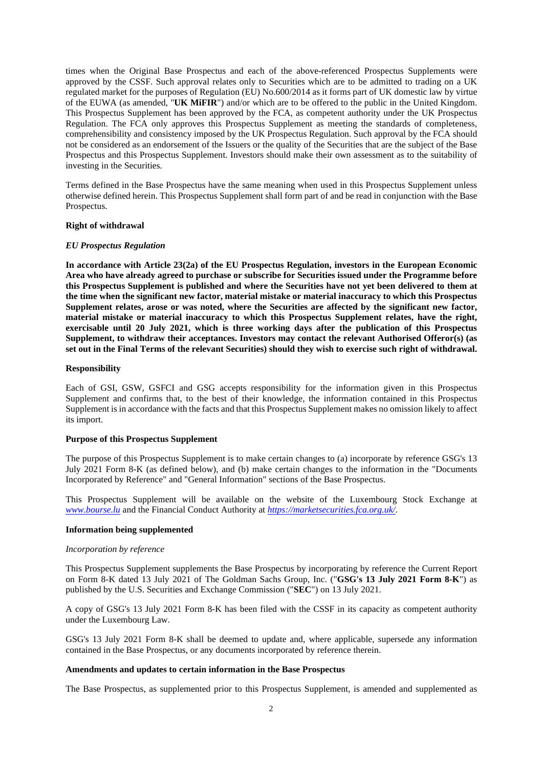times when the Original Base Prospectus and each of the above-referenced Prospectus Supplements were approved by the CSSF. Such approval relates only to Securities which are to be admitted to trading on a UK regulated market for the purposes of Regulation (EU) No.600/2014 as it forms part of UK domestic law by virtue of the EUWA (as amended, "**UK MiFIR**") and/or which are to be offered to the public in the United Kingdom. This Prospectus Supplement has been approved by the FCA, as competent authority under the UK Prospectus Regulation. The FCA only approves this Prospectus Supplement as meeting the standards of completeness, comprehensibility and consistency imposed by the UK Prospectus Regulation. Such approval by the FCA should not be considered as an endorsement of the Issuers or the quality of the Securities that are the subject of the Base Prospectus and this Prospectus Supplement. Investors should make their own assessment as to the suitability of investing in the Securities.

Terms defined in the Base Prospectus have the same meaning when used in this Prospectus Supplement unless otherwise defined herein. This Prospectus Supplement shall form part of and be read in conjunction with the Base Prospectus.

## **Right of withdrawal**

#### *EU Prospectus Regulation*

**In accordance with Article 23(2a) of the EU Prospectus Regulation, investors in the European Economic Area who have already agreed to purchase or subscribe for Securities issued under the Programme before this Prospectus Supplement is published and where the Securities have not yet been delivered to them at the time when the significant new factor, material mistake or material inaccuracy to which this Prospectus Supplement relates, arose or was noted, where the Securities are affected by the significant new factor, material mistake or material inaccuracy to which this Prospectus Supplement relates, have the right, exercisable until 20 July 2021, which is three working days after the publication of this Prospectus Supplement, to withdraw their acceptances. Investors may contact the relevant Authorised Offeror(s) (as set out in the Final Terms of the relevant Securities) should they wish to exercise such right of withdrawal.** 

#### **Responsibility**

Each of GSI, GSW, GSFCI and GSG accepts responsibility for the information given in this Prospectus Supplement and confirms that, to the best of their knowledge, the information contained in this Prospectus Supplement is in accordance with the facts and that this Prospectus Supplement makes no omission likely to affect its import.

### **Purpose of this Prospectus Supplement**

The purpose of this Prospectus Supplement is to make certain changes to (a) incorporate by reference GSG's 13 July 2021 Form 8-K (as defined below), and (b) make certain changes to the information in the "Documents Incorporated by Reference" and "General Information" sections of the Base Prospectus.

This Prospectus Supplement will be available on the website of the Luxembourg Stock Exchange at *[www.bourse.lu](http://www.bourse.lu/)* and the Financial Conduct Authority at *<https://marketsecurities.fca.org.uk/>*.

### **Information being supplemented**

#### *Incorporation by reference*

This Prospectus Supplement supplements the Base Prospectus by incorporating by reference the Current Report on Form 8-K dated 13 July 2021 of The Goldman Sachs Group, Inc. ("**GSG's 13 July 2021 Form 8-K**") as published by the U.S. Securities and Exchange Commission ("**SEC**") on 13 July 2021.

A copy of GSG's 13 July 2021 Form 8-K has been filed with the CSSF in its capacity as competent authority under the Luxembourg Law.

GSG's 13 July 2021 Form 8-K shall be deemed to update and, where applicable, supersede any information contained in the Base Prospectus, or any documents incorporated by reference therein.

### **Amendments and updates to certain information in the Base Prospectus**

The Base Prospectus, as supplemented prior to this Prospectus Supplement, is amended and supplemented as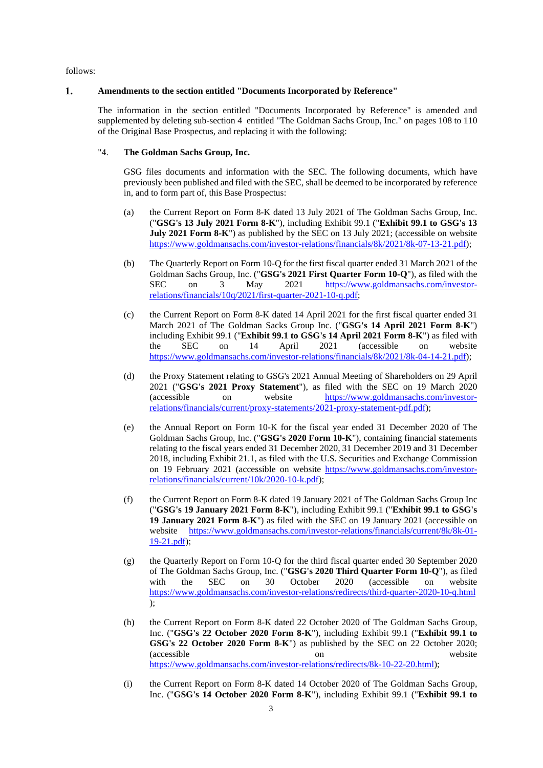follows:

#### $\mathbf{1}$ . **Amendments to the section entitled "Documents Incorporated by Reference"**

The information in the section entitled "Documents Incorporated by Reference" is amended and supplemented by deleting sub-section 4 entitled "The Goldman Sachs Group, Inc." on pages 108 to 110 of the Original Base Prospectus, and replacing it with the following:

# "4. **The Goldman Sachs Group, Inc.**

GSG files documents and information with the SEC. The following documents, which have previously been published and filed with the SEC, shall be deemed to be incorporated by reference in, and to form part of, this Base Prospectus:

- (a) the Current Report on Form 8-K dated 13 July 2021 of The Goldman Sachs Group, Inc. ("**GSG's 13 July 2021 Form 8-K**"), including Exhibit 99.1 ("**Exhibit 99.1 to GSG's 13 July 2021 Form 8-K**") as published by the SEC on 13 July 2021; (accessible on website [https://www.goldmansachs.com/investor-relations/financials/8k/2021/8k-07-13-21.pdf\)](https://www.goldmansachs.com/investor-relations/financials/8k/2021/8k-07-13-21.pdf);
- (b) The Quarterly Report on Form 10-Q for the first fiscal quarter ended 31 March 2021 of the Goldman Sachs Group, Inc. ("**GSG's 2021 First Quarter Form 10-Q**"), as filed with the SEC on 3 May 2021 [https://www.goldmansachs.com/investor](https://www.goldmansachs.com/investor-relations/financials/10q/2021/first-quarter-2021-10-q.pdf)[relations/financials/10q/2021/first-quarter-2021-10-q.pdf;](https://www.goldmansachs.com/investor-relations/financials/10q/2021/first-quarter-2021-10-q.pdf)
- (c) the Current Report on Form 8-K dated 14 April 2021 for the first fiscal quarter ended 31 March 2021 of The Goldman Sacks Group Inc. ("**GSG's 14 April 2021 Form 8-K**") including Exhibit 99.1 ("**Exhibit 99.1 to GSG's 14 April 2021 Form 8-K**") as filed with the SEC on 14 April 2021 (accessible on website [https://www.goldmansachs.com/investor-relations/financials/8k/2021/8k-04-14-21.pdf\)](https://www.goldmansachs.com/investor-relations/financials/8k/2021/8k-04-14-21.pdf);
- (d) the Proxy Statement relating to GSG's 2021 Annual Meeting of Shareholders on 29 April 2021 ("**GSG's 2021 Proxy Statement**"), as filed with the SEC on 19 March 2020 (accessible on website [https://www.goldmansachs.com/investor](https://www.goldmansachs.com/investor-relations/financials/current/proxy-statements/2021-proxy-statement-pdf.pdf)[relations/financials/current/proxy-statements/2021-proxy-statement-pdf.pdf\)](https://www.goldmansachs.com/investor-relations/financials/current/proxy-statements/2021-proxy-statement-pdf.pdf);
- (e) the Annual Report on Form 10-K for the fiscal year ended 31 December 2020 of The Goldman Sachs Group, Inc. ("**GSG's 2020 Form 10-K**"), containing financial statements relating to the fiscal years ended 31 December 2020, 31 December 2019 and 31 December 2018, including Exhibit 21.1, as filed with the U.S. Securities and Exchange Commission on 19 February 2021 (accessible on website [https://www.goldmansachs.com/investor](https://www.goldmansachs.com/investor-relations/financials/current/10k/2020-10-k.pdf)[relations/financials/current/10k/2020-10-k.pdf\)](https://www.goldmansachs.com/investor-relations/financials/current/10k/2020-10-k.pdf);
- (f) the Current Report on Form 8-K dated 19 January 2021 of The Goldman Sachs Group Inc ("**GSG's 19 January 2021 Form 8-K**"), including Exhibit 99.1 ("**Exhibit 99.1 to GSG's 19 January 2021 Form 8-K**") as filed with the SEC on 19 January 2021 (accessible on website [https://www.goldmansachs.com/investor-relations/financials/current/8k/8k-01-](https://www.goldmansachs.com/investor-relations/financials/current/8k/8k-01-19-21.pdf) [19-21.pdf\)](https://www.goldmansachs.com/investor-relations/financials/current/8k/8k-01-19-21.pdf);
- (g) the Quarterly Report on Form 10-Q for the third fiscal quarter ended 30 September 2020 of The Goldman Sachs Group, Inc. ("**GSG's 2020 Third Quarter Form 10-Q**"), as filed with the SEC on 30 October 2020 (accessible on website <https://www.goldmansachs.com/investor-relations/redirects/third-quarter-2020-10-q.html> );
- (h) the Current Report on Form 8-K dated 22 October 2020 of The Goldman Sachs Group, Inc. ("**GSG's 22 October 2020 Form 8-K**"), including Exhibit 99.1 ("**Exhibit 99.1 to GSG's 22 October 2020 Form 8-K**") as published by the SEC on 22 October 2020; (accessible on website [https://www.goldmansachs.com/investor-relations/redirects/8k-10-22-20.html\)](https://www.goldmansachs.com/investor-relations/redirects/8k-10-22-20.html);
- (i) the Current Report on Form 8-K dated 14 October 2020 of The Goldman Sachs Group, Inc. ("**GSG's 14 October 2020 Form 8-K**"), including Exhibit 99.1 ("**Exhibit 99.1 to**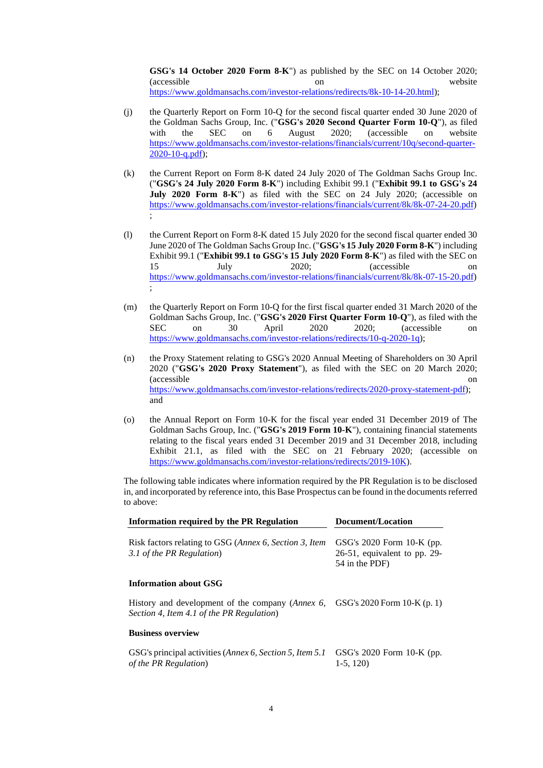**GSG's 14 October 2020 Form 8-K**") as published by the SEC on 14 October 2020; (accessible on website [https://www.goldmansachs.com/investor-relations/redirects/8k-10-14-20.html\)](https://www.goldmansachs.com/investorrelations/redirects/8k101420.html);

- (j) the Quarterly Report on Form 10-Q for the second fiscal quarter ended 30 June 2020 of the Goldman Sachs Group, Inc. ("**GSG's 2020 Second Quarter Form 10-Q**"), as filed with the SEC on 6 August 2020; (accessible on website [https://www.goldmansachs.com/investor-relations/financials/current/10q/second-quarter-](https://www.goldmansachs.com/investor-relations/financials/current/10q/second-quarter-2020-10-q.pdf)[2020-10-q.pdf\)](https://www.goldmansachs.com/investor-relations/financials/current/10q/second-quarter-2020-10-q.pdf);
- (k) the Current Report on Form 8-K dated 24 July 2020 of The Goldman Sachs Group Inc. ("**GSG's 24 July 2020 Form 8-K**") including Exhibit 99.1 ("**Exhibit 99.1 to GSG's 24 July 2020 Form 8-K**") as filed with the SEC on 24 July 2020; (accessible on [https://www.goldmansachs.com/investor-relations/financials/current/8k/8k-07-24-20.pdf\)](https://www.goldmansachs.com/investor-relations/financials/current/8k/8k-07-24-20.pdf) ;
- (l) the Current Report on Form 8-K dated 15 July 2020 for the second fiscal quarter ended 30 June 2020 of The Goldman Sachs Group Inc. ("**GSG's 15 July 2020 Form 8-K**") including Exhibit 99.1 ("**Exhibit 99.1 to GSG's 15 July 2020 Form 8-K**") as filed with the SEC on 15 July 2020; (accessible on [https://www.goldmansachs.com/investor-relations/financials/current/8k/8k-07-15-20.pdf\)](https://www.goldmansachs.com/investor-relations/financials/current/8k/8k-07-15-20.pdf) ;
- (m) the Quarterly Report on Form 10-Q for the first fiscal quarter ended 31 March 2020 of the Goldman Sachs Group, Inc. ("**GSG's 2020 First Quarter Form 10-Q**"), as filed with the SEC on 30 April 2020 2020; (accessible on [https://www.goldmansachs.com/investor-relations/redirects/10-q-2020-1q\)](https://www.goldmansachs.com/investor-relations/redirects/10-q-2020-1q);
- (n) the Proxy Statement relating to GSG's 2020 Annual Meeting of Shareholders on 30 April 2020 ("**GSG's 2020 Proxy Statement**"), as filed with the SEC on 20 March 2020; (accessible on [https://www.goldmansachs.com/investor-relations/redirects/2020-proxy-statement-pdf\)](https://www.goldmansachs.com/investorrelations/redirects/2020proxystatementpdf); and
- (o) the Annual Report on Form 10-K for the fiscal year ended 31 December 2019 of The Goldman Sachs Group, Inc. ("**GSG's 2019 Form 10-K**"), containing financial statements relating to the fiscal years ended 31 December 2019 and 31 December 2018, including Exhibit 21.1, as filed with the SEC on 21 February 2020; (accessible on [https://www.goldmansachs.com/investor-relations/redirects/2019-10K\)](https://www.goldmansachs.com/investor-relations/redirects/2019-10K).

The following table indicates where information required by the PR Regulation is to be disclosed in, and incorporated by reference into, this Base Prospectus can be found in the documents referred to above:

| Information required by the PR Regulation                                                              | Document/Location                                                                  |
|--------------------------------------------------------------------------------------------------------|------------------------------------------------------------------------------------|
| Risk factors relating to GSG ( <i>Annex 6, Section 3, Item</i><br>3.1 of the PR Regulation)            | GSG's $2020$ Form $10-K$ (pp.<br>$26-51$ , equivalent to pp. 29-<br>54 in the PDF) |
| <b>Information about GSG</b>                                                                           |                                                                                    |
| History and development of the company ( <i>Annex 6</i> ,<br>Section 4, Item 4.1 of the PR Regulation) | GSG's 2020 Form $10-K(p, 1)$                                                       |
| <b>Business overview</b>                                                                               |                                                                                    |
| GSG's principal activities ( <i>Annex 6, Section 5, Item 5.1</i><br>of the PR Regulation)              | GSG's $2020$ Form 10-K (pp.<br>$1-5, 120$                                          |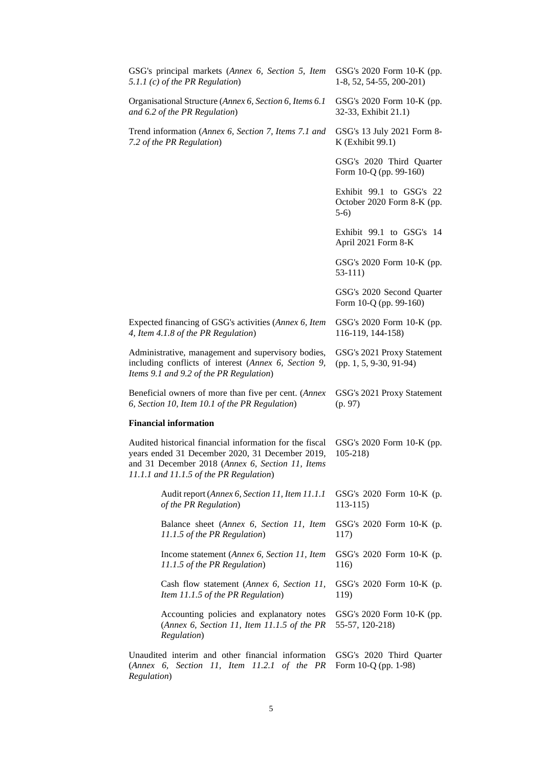| GSG's principal markets (Annex 6, Section 5, Item<br>5.1.1 (c) of the PR Regulation)                                                                                                                      | GSG's 2020 Form 10-K (pp.<br>1-8, 52, 54-55, 200-201)            |
|-----------------------------------------------------------------------------------------------------------------------------------------------------------------------------------------------------------|------------------------------------------------------------------|
| Organisational Structure (Annex 6, Section 6, Items 6.1<br>and 6.2 of the PR Regulation)                                                                                                                  | GSG's 2020 Form 10-K (pp.<br>32-33, Exhibit 21.1)                |
| Trend information (Annex 6, Section 7, Items 7.1 and<br>7.2 of the PR Regulation)                                                                                                                         | GSG's 13 July 2021 Form 8-<br>K (Exhibit 99.1)                   |
|                                                                                                                                                                                                           | GSG's 2020 Third Quarter<br>Form 10-Q (pp. 99-160)               |
|                                                                                                                                                                                                           | Exhibit 99.1 to GSG's 22<br>October 2020 Form 8-K (pp.<br>$5-6)$ |
|                                                                                                                                                                                                           | Exhibit 99.1 to GSG's 14<br>April 2021 Form 8-K                  |
|                                                                                                                                                                                                           | GSG's 2020 Form 10-K (pp.<br>53-111)                             |
|                                                                                                                                                                                                           | GSG's 2020 Second Quarter<br>Form 10-Q (pp. 99-160)              |
| Expected financing of GSG's activities (Annex 6, Item<br>4, Item 4.1.8 of the PR Regulation)                                                                                                              | GSG's 2020 Form 10-K (pp.<br>116-119, 144-158)                   |
| Administrative, management and supervisory bodies,<br>including conflicts of interest (Annex 6, Section 9,<br>Items 9.1 and 9.2 of the PR Regulation)                                                     | GSG's 2021 Proxy Statement<br>$(pp. 1, 5, 9-30, 91-94)$          |
| Beneficial owners of more than five per cent. (Annex<br>6, Section 10, Item 10.1 of the PR Regulation)                                                                                                    | GSG's 2021 Proxy Statement<br>(p. 97)                            |
| <b>Financial information</b>                                                                                                                                                                              |                                                                  |
| Audited historical financial information for the fiscal<br>years ended 31 December 2020, 31 December 2019,<br>and 31 December 2018 (Annex 6, Section 11, Items<br>11.1.1 and 11.1.5 of the PR Regulation) | GSG's 2020 Form 10-K (pp.<br>$105 - 218$                         |
| Audit report (Annex 6, Section 11, Item 11.1.1<br>of the PR Regulation)                                                                                                                                   | GSG's 2020 Form 10-K (p.<br>$113-115$                            |
| Balance sheet (Annex 6, Section 11, Item<br>11.1.5 of the PR Regulation)                                                                                                                                  | GSG's 2020 Form 10-K (p.<br>117)                                 |
| Income statement (Annex 6, Section 11, Item<br>11.1.5 of the PR Regulation)                                                                                                                               | GSG's 2020 Form 10-K (p.<br>116)                                 |
| Cash flow statement (Annex 6, Section 11,<br>Item 11.1.5 of the PR Regulation)                                                                                                                            | GSG's 2020 Form 10-K (p.<br>119)                                 |
| Accounting policies and explanatory notes<br>(Annex 6, Section 11, Item 11.1.5 of the PR<br>Regulation)                                                                                                   | GSG's 2020 Form 10-K (pp.<br>55-57, 120-218)                     |
| Unaudited interim and other financial information<br>(Annex 6, Section 11, Item 11.2.1 of the PR<br>Regulation)                                                                                           | GSG's 2020 Third Quarter<br>Form 10-Q (pp. 1-98)                 |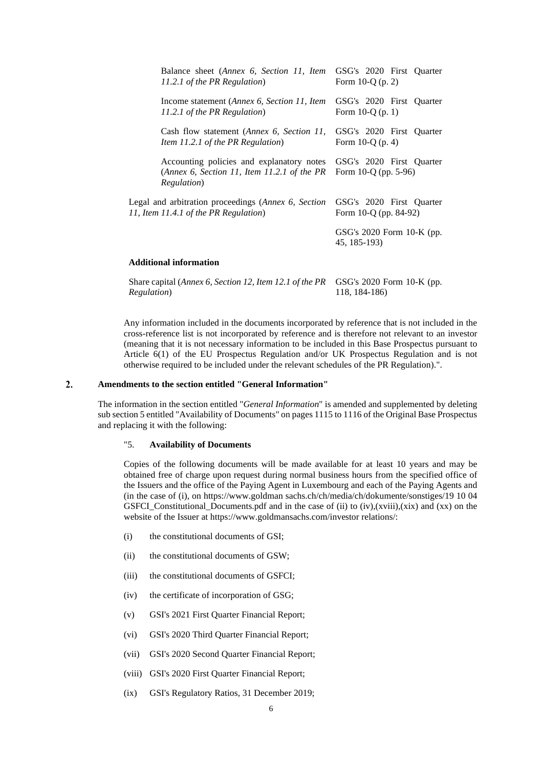| Balance sheet (Annex 6, Section 11, Item                                                                        | GSG's 2020 First Quarter                         |
|-----------------------------------------------------------------------------------------------------------------|--------------------------------------------------|
| 11.2.1 of the PR Regulation)                                                                                    | Form 10-Q $(p. 2)$                               |
| Income statement (Annex 6, Section 11, Item                                                                     | GSG's 2020 First Quarter                         |
| 11.2.1 of the PR Regulation)                                                                                    | Form $10-Q(p. 1)$                                |
| Cash flow statement ( <i>Annex 6, Section 11</i> ,                                                              | GSG's 2020 First Quarter                         |
| Item 11.2.1 of the PR Regulation)                                                                               | Form $10-Q(p, 4)$                                |
| Accounting policies and explanatory notes<br>(Annex 6, Section 11, Item 11.2.1 of the PR<br><i>Regulation</i> ) | GSG's 2020 First Quarter<br>Form 10-Q (pp. 5-96) |
| Legal and arbitration proceedings (Annex 6, Section                                                             | GSG's 2020 First Quarter                         |
| 11, Item 11.4.1 of the PR Regulation)                                                                           | Form 10-Q (pp. 84-92)                            |
|                                                                                                                 | GSG's $2020$ Form 10-K (pp.<br>45, 185-193)      |
| <b>Additional information</b>                                                                                   |                                                  |
| Share capital (Annex 6, Section 12, Item 12.1 of the PR                                                         | GSG's 2020 Form 10-K (pp.                        |

Any information included in the documents incorporated by reference that is not included in the cross-reference list is not incorporated by reference and is therefore not relevant to an investor (meaning that it is not necessary information to be included in this Base Prospectus pursuant to Article 6(1) of the EU Prospectus Regulation and/or UK Prospectus Regulation and is not otherwise required to be included under the relevant schedules of the PR Regulation).".

118, 184-186)

#### $2.$ **Amendments to the section entitled "General Information"**

*Regulation*)

The information in the section entitled "*General Information*" is amended and supplemented by deleting sub section 5 entitled "Availability of Documents" on pages 1115 to 1116 of the Original Base Prospectus and replacing it with the following:

### "5. **Availability of Documents**

Copies of the following documents will be made available for at least 10 years and may be obtained free of charge upon request during normal business hours from the specified office of the Issuers and the office of the Paying Agent in Luxembourg and each of the Paying Agents and (in the case of (i), on https://www.goldman sachs.ch/ch/media/ch/dokumente/sonstiges/19 10 04 GSFCI Constitutional Documents.pdf and in the case of (ii) to (iv),(xviii),(xix) and (xx) on the website of the Issuer at https://www.goldmansachs.com/investor relations/:

- (i) the constitutional documents of GSI;
- (ii) the constitutional documents of GSW;
- (iii) the constitutional documents of GSFCI;
- (iv) the certificate of incorporation of GSG;
- (v) GSI's 2021 First Quarter Financial Report;
- (vi) GSI's 2020 Third Quarter Financial Report;
- (vii) GSI's 2020 Second Quarter Financial Report;
- (viii) GSI's 2020 First Quarter Financial Report;
- (ix) GSI's Regulatory Ratios, 31 December 2019;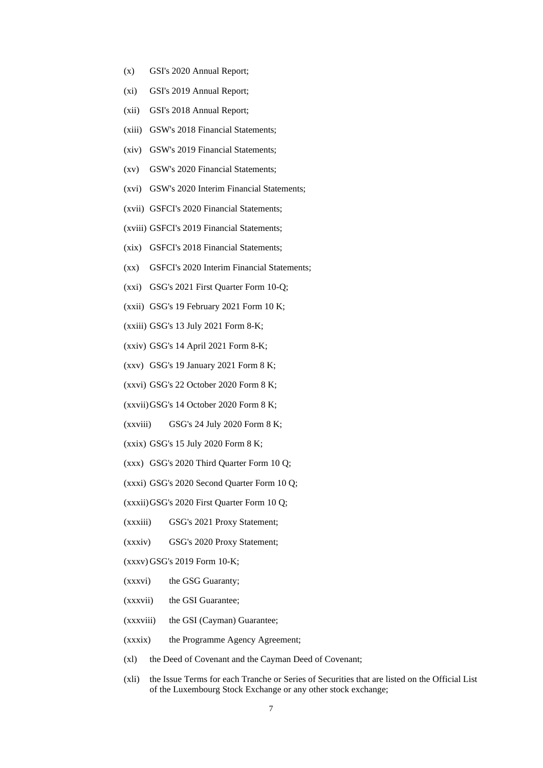- (x) GSI's 2020 Annual Report;
- (xi) GSI's 2019 Annual Report;
- (xii) GSI's 2018 Annual Report;
- (xiii) GSW's 2018 Financial Statements;
- (xiv) GSW's 2019 Financial Statements;
- (xv) GSW's 2020 Financial Statements;
- (xvi) GSW's 2020 Interim Financial Statements;
- (xvii) GSFCI's 2020 Financial Statements;
- (xviii) GSFCI's 2019 Financial Statements;
- (xix) GSFCI's 2018 Financial Statements;
- (xx) GSFCI's 2020 Interim Financial Statements;
- (xxi) GSG's 2021 First Quarter Form 10-Q;
- (xxii) GSG's 19 February 2021 Form 10 K;
- (xxiii) GSG's 13 July 2021 Form 8-K;
- (xxiv) GSG's 14 April 2021 Form 8-K;
- (xxv) GSG's 19 January 2021 Form 8 K;
- (xxvi) GSG's 22 October 2020 Form 8 K;
- (xxvii)GSG's 14 October 2020 Form 8 K;
- (xxviii) GSG's 24 July 2020 Form 8 K;
- (xxix) GSG's 15 July 2020 Form 8 K;
- (xxx) GSG's 2020 Third Quarter Form 10 Q;
- (xxxi) GSG's 2020 Second Quarter Form 10 Q;
- (xxxii)GSG's 2020 First Quarter Form 10 Q;
- (xxxiii) GSG's 2021 Proxy Statement;
- (xxxiv) GSG's 2020 Proxy Statement;
- (xxxv) GSG's 2019 Form 10-K;
- (xxxvi) the GSG Guaranty;
- (xxxvii) the GSI Guarantee;
- (xxxviii) the GSI (Cayman) Guarantee;
- (xxxix) the Programme Agency Agreement;
- (xl) the Deed of Covenant and the Cayman Deed of Covenant;
- (xli) the Issue Terms for each Tranche or Series of Securities that are listed on the Official List of the Luxembourg Stock Exchange or any other stock exchange;